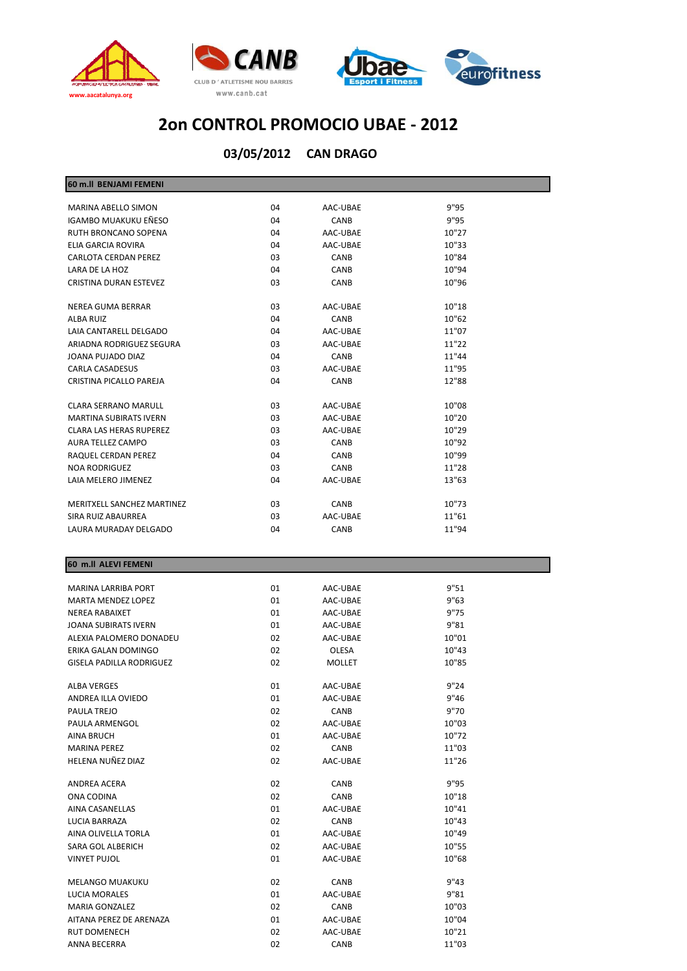



| 60 m.ll BENJAMI FEMENI          |          |                  |                |
|---------------------------------|----------|------------------|----------------|
| MARINA ABELLO SIMON             | 04       | AAC-UBAE         | 9"95           |
| IGAMBO MUAKUKU EÑESO            | 04       | CANB             | 9"95           |
| RUTH BRONCANO SOPENA            | 04       | AAC-UBAE         | 10"27          |
| ELIA GARCIA ROVIRA              | 04       | AAC-UBAE         | 10"33          |
| <b>CARLOTA CERDAN PEREZ</b>     | 03       | CANB             | 10"84          |
| LARA DE LA HOZ                  | 04       | CANB             | 10"94          |
| CRISTINA DURAN ESTEVEZ          | 03       | CANB             | 10"96          |
|                                 |          |                  |                |
| NEREA GUMA BERRAR               | 03       | AAC-UBAE         | 10"18          |
| ALBA RUIZ                       | 04       | CANB             | 10"62          |
| LAIA CANTARELL DELGADO          | 04       | AAC-UBAE         | 11"07          |
| ARIADNA RODRIGUEZ SEGURA        | 03       | AAC-UBAE         | 11"22          |
| JOANA PUJADO DIAZ               | 04       | CANB             | 11"44          |
| <b>CARLA CASADESUS</b>          | 03       | AAC-UBAE         | 11"95          |
| CRISTINA PICALLO PAREJA         | 04       | CANB             | 12"88          |
| <b>CLARA SERRANO MARULL</b>     | 03       | AAC-UBAE         | 10"08          |
| <b>MARTINA SUBIRATS IVERN</b>   | 03       | AAC-UBAE         | 10"20          |
| <b>CLARA LAS HERAS RUPEREZ</b>  | 03       | AAC-UBAE         | 10"29          |
| AURA TELLEZ CAMPO               | 03       | CANB             | 10"92          |
| RAQUEL CERDAN PEREZ             | 04       | <b>CANB</b>      | 10"99          |
| <b>NOA RODRIGUEZ</b>            | 03       | <b>CANB</b>      | 11"28          |
| LAIA MELERO JIMENEZ             | 04       | AAC-UBAE         | 13"63          |
|                                 |          |                  |                |
| MERITXELL SANCHEZ MARTINEZ      | 03       | CANB             | 10"73          |
| SIRA RUIZ ABAURREA              | 03       | AAC-UBAE         | 11"61          |
| LAURA MURADAY DELGADO           | 04       | CANB             | 11"94          |
|                                 |          |                  |                |
| 60 m.ll ALEVI FEMENI            |          |                  |                |
|                                 |          |                  |                |
| MARINA LARRIBA PORT             | 01       | AAC-UBAE         | 9"51           |
| MARTA MENDEZ LOPEZ              | 01       | AAC-UBAE         | 9"63           |
| NEREA RABAIXET                  | 01       | AAC-UBAE         | 9"75           |
| <b>JOANA SUBIRATS IVERN</b>     | 01       | AAC-UBAE         | 9"81           |
| ALEXIA PALOMERO DONADEU         | 02       | AAC-UBAE         | 10"01          |
| ERIKA GALAN DOMINGO             | 02       | OLESA            | 10"43          |
| <b>GISELA PADILLA RODRIGUEZ</b> | 02       | MOLLET           | 10"85          |
| <b>ALBA VERGES</b>              | 01       | AAC-UBAE         | 9"24           |
| ANDREA ILLA OVIEDO              | 01       | AAC-UBAE         | 9"46           |
| PAULA TREJO                     | 02       | CANB             | 9"70           |
| PAULA ARMENGOL                  | 02       | AAC-UBAE         | 10"03          |
| AINA BRUCH                      | 01       | AAC-UBAE         | 10"72          |
| <b>MARINA PEREZ</b>             | 02       | CANB             | 11"03          |
| HELENA NUÑEZ DIAZ               | 02       | AAC-UBAE         | 11"26          |
|                                 |          |                  |                |
| ANDREA ACERA                    | 02       | CANB             | 9"95           |
| ONA CODINA                      | 02       | CANB             | 10"18          |
| AINA CASANELLAS                 | 01       | AAC-UBAE         | 10"41          |
| LUCIA BARRAZA                   | 02       | CANB             | 10"43          |
| AINA OLIVELLA TORLA             | 01       | AAC-UBAE         | 10"49          |
| SARA GOL ALBERICH               | 02       | AAC-UBAE         | 10"55          |
| <b>VINYET PUJOL</b>             | 01       | AAC-UBAE         | 10"68          |
|                                 |          |                  | 9"43           |
| <b>MELANGO MUAKUKU</b>          | 02       | CANB             |                |
| LUCIA MORALES                   | 01       | AAC-UBAE         | 9"81           |
| <b>MARIA GONZALEZ</b>           | 02       | CANB             | 10"03          |
| AITANA PEREZ DE ARENAZA         | 01       | AAC-UBAE         | 10"04          |
| RUT DOMENECH<br>ANNA BECERRA    | 02<br>02 | AAC-UBAE<br>CANB | 10"21<br>11"03 |
|                                 |          |                  |                |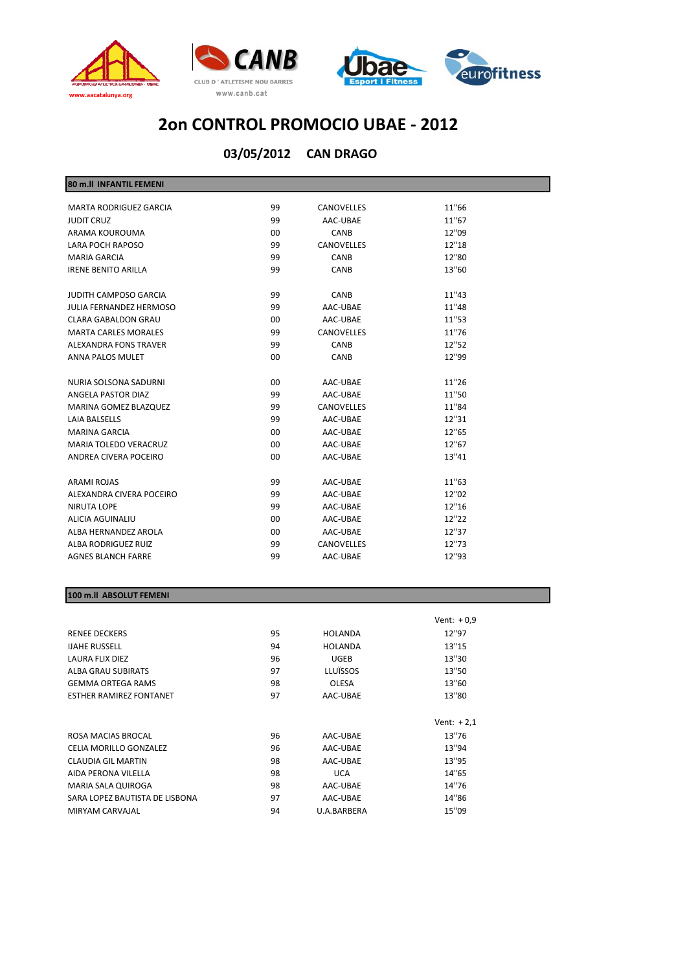



**CAN DRAGO 03/05/2012**

| 80 m.II INFANTIL FEMENI        |         |                   |       |  |
|--------------------------------|---------|-------------------|-------|--|
| <b>MARTA RODRIGUEZ GARCIA</b>  | 99      | <b>CANOVELLES</b> | 11"66 |  |
| <b>JUDIT CRUZ</b>              | 99      | AAC-UBAE          | 11"67 |  |
| ARAMA KOUROUMA                 | 00      | <b>CANB</b>       | 12"09 |  |
| <b>LARA POCH RAPOSO</b>        | 99      | CANOVELLES        | 12"18 |  |
| <b>MARIA GARCIA</b>            | 99      | CANB              | 12"80 |  |
| <b>IRENE BENITO ARILLA</b>     | 99      | <b>CANB</b>       | 13"60 |  |
| <b>JUDITH CAMPOSO GARCIA</b>   | 99      | <b>CANB</b>       | 11"43 |  |
| <b>JULIA FERNANDEZ HERMOSO</b> | 99      | AAC-UBAE          | 11"48 |  |
| <b>CLARA GABALDON GRAU</b>     | 00      | AAC-UBAE          | 11"53 |  |
| <b>MARTA CARLES MORALES</b>    | 99      | <b>CANOVELLES</b> | 11"76 |  |
| ALEXANDRA FONS TRAVER          | 99      | CANB              | 12"52 |  |
| ANNA PALOS MULET               | $00 \,$ | CANB              | 12"99 |  |
| NURIA SOLSONA SADURNI          | 00      | AAC-UBAE          | 11"26 |  |
| ANGELA PASTOR DIAZ             | 99      | AAC-UBAE          | 11"50 |  |
| <b>MARINA GOMEZ BLAZQUEZ</b>   | 99      | CANOVELLES        | 11"84 |  |
| <b>LAIA BALSELLS</b>           | 99      | AAC-UBAE          | 12"31 |  |
| <b>MARINA GARCIA</b>           | 00      | AAC-UBAE          | 12"65 |  |
| <b>MARIA TOLEDO VERACRUZ</b>   | 00      | AAC-UBAE          | 12"67 |  |
| ANDREA CIVERA POCEIRO          | $00 \,$ | AAC-UBAE          | 13"41 |  |
| <b>ARAMI ROJAS</b>             | 99      | AAC-UBAE          | 11"63 |  |
| ALEXANDRA CIVERA POCEIRO       | 99      | AAC-UBAE          | 12"02 |  |
| <b>NIRUTA LOPE</b>             | 99      | AAC-UBAE          | 12"16 |  |
| ALICIA AGUINALIU               | 00      | AAC-UBAE          | 12"22 |  |
| ALBA HERNANDEZ AROLA           | 00      | AAC-UBAE          | 12"37 |  |
| ALBA RODRIGUEZ RUIZ            | 99      | CANOVELLES        | 12"73 |  |
| <b>AGNES BLANCH FARRE</b>      | 99      | AAC-UBAE          | 12"93 |  |
|                                |         |                   |       |  |

## **100 m.ll ABSOLUT FEMENI**

|                                |    |                | Vent: $+0.9$ |
|--------------------------------|----|----------------|--------------|
| <b>RENEE DECKERS</b>           | 95 | <b>HOLANDA</b> | 12"97        |
| <b>IJAHE RUSSELL</b>           | 94 | <b>HOLANDA</b> | 13"15        |
| LAURA FLIX DIEZ                | 96 | <b>UGEB</b>    | 13"30        |
| ALBA GRAU SUBIRATS             | 97 | LLUÏSSOS       | 13"50        |
| <b>GEMMA ORTEGA RAMS</b>       | 98 | <b>OLESA</b>   | 13"60        |
| <b>ESTHER RAMIREZ FONTANET</b> | 97 | AAC-UBAE       | 13"80        |
|                                |    |                |              |
|                                |    |                |              |
|                                |    |                | Vent: $+2,1$ |
| ROSA MACIAS BROCAL             | 96 | AAC-UBAE       | 13"76        |
| CELIA MORILLO GONZALEZ         | 96 | AAC-UBAE       | 13"94        |
| <b>CLAUDIA GIL MARTIN</b>      | 98 | AAC-UBAE       | 13"95        |
| AIDA PERONA VILELLA            | 98 | <b>UCA</b>     | 14"65        |
| MARIA SALA QUIROGA             | 98 | AAC-UBAE       | 14"76        |
| SARA LOPEZ BAUTISTA DE LISBONA | 97 | AAC-UBAE       | 14"86        |
| MIRYAM CARVAJAL                | 94 | U.A.BARBERA    | 15"09        |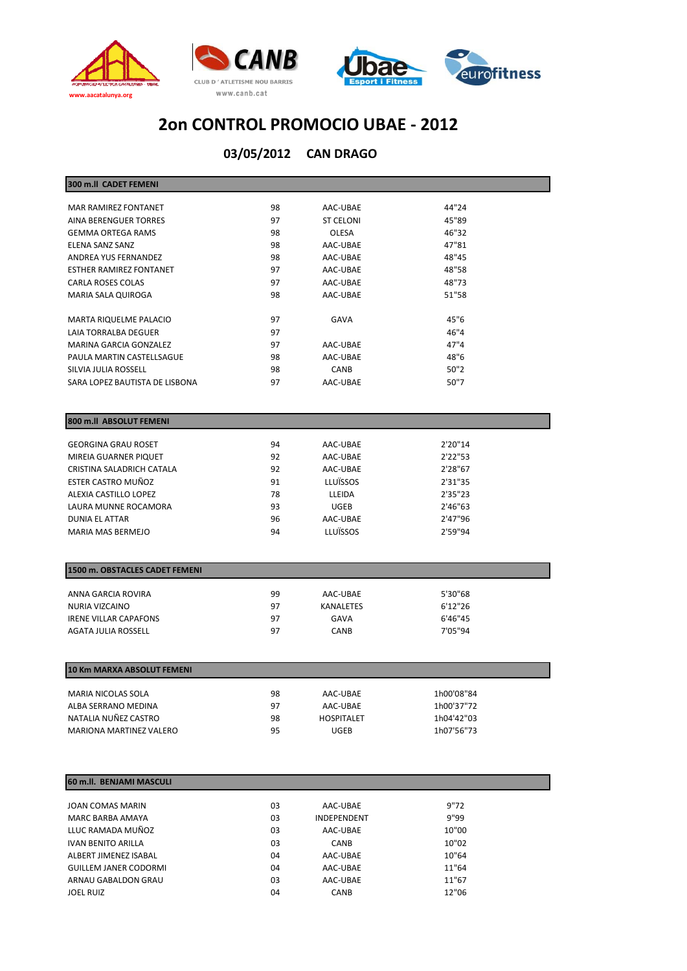



| 300 m.ll CADET FEMENI                          |          |                   |                    |
|------------------------------------------------|----------|-------------------|--------------------|
| <b>MAR RAMIREZ FONTANET</b>                    | 98       | AAC-UBAE          | 44"24              |
| AINA BERENGUER TORRES                          | 97       | <b>ST CELONI</b>  | 45"89              |
| <b>GEMMA ORTEGA RAMS</b>                       | 98       | OLESA             | 46"32              |
| ELENA SANZ SANZ                                | 98       | AAC-UBAE          | 47"81              |
| ANDREA YUS FERNANDEZ                           | 98       | AAC-UBAE          | 48"45              |
| <b>ESTHER RAMIREZ FONTANET</b>                 | 97       | AAC-UBAE          | 48"58              |
| CARLA ROSES COLAS                              | 97       | AAC-UBAE          | 48"73              |
| MARIA SALA QUIROGA                             | 98       | AAC-UBAE          | 51"58              |
|                                                |          |                   |                    |
| <b>MARTA RIQUELME PALACIO</b>                  | 97       | <b>GAVA</b>       | 45"6               |
| LAIA TORRALBA DEGUER                           | 97       |                   | 46"4               |
| MARINA GARCIA GONZALEZ                         | 97       | AAC-UBAE          | 47"4               |
| PAULA MARTIN CASTELLSAGUE                      | 98       | AAC-UBAE          | 48"6               |
| SILVIA JULIA ROSSELL                           | 98       | CANB              | 50"2               |
| SARA LOPEZ BAUTISTA DE LISBONA                 | 97       | AAC-UBAE          | 50"7               |
|                                                |          |                   |                    |
|                                                |          |                   |                    |
| 800 m.ll ABSOLUT FEMENI                        |          |                   |                    |
|                                                |          |                   |                    |
| <b>GEORGINA GRAU ROSET</b>                     | 94       | AAC-UBAE          | 2'20"14            |
| MIREIA GUARNER PIQUET                          | 92       | AAC-UBAE          | 2'22"53            |
| CRISTINA SALADRICH CATALA                      | 92       | AAC-UBAE          | 2'28"67            |
| ESTER CASTRO MUÑOZ                             | 91       | LLUÏSSOS          | 2'31"35            |
| ALEXIA CASTILLO LOPEZ                          | 78       | LLEIDA            | 2'35"23            |
| LAURA MUNNE ROCAMORA                           | 93       | <b>UGEB</b>       | 2'46"63            |
| DUNIA EL ATTAR                                 | 96       | AAC-UBAE          | 2'47"96            |
| <b>MARIA MAS BERMEJO</b>                       | 94       | <b>LLUÏSSOS</b>   | 2'59"94            |
|                                                |          |                   |                    |
| 1500 m. OBSTACLES CADET FEMENI                 |          |                   |                    |
|                                                |          |                   |                    |
| ANNA GARCIA ROVIRA                             | 99<br>97 | AAC-UBAE          | 5'30"68            |
| NURIA VIZCAINO<br><b>IRENE VILLAR CAPAFONS</b> | 97       | KANALETES<br>GAVA | 6'12"26<br>6'46"45 |
| <b>AGATA JULIA ROSSELL</b>                     | 97       | CANB              | 7'05"94            |
|                                                |          |                   |                    |
|                                                |          |                   |                    |
| 10 Km MARXA ABSOLUT FEMENI                     |          |                   |                    |
| MARIA NICOLAS SOLA                             | 98       | AAC-UBAE          | 1h00'08"84         |
| ALBA SERRANO MEDINA                            | 97       | AAC-UBAE          | 1h00'37"72         |
| NATALIA NUÑEZ CASTRO                           | 98       | <b>HOSPITALET</b> | 1h04'42"03         |
| MARIONA MARTINEZ VALERO                        | 95       | <b>UGEB</b>       | 1h07'56"73         |
|                                                |          |                   |                    |
|                                                |          |                   |                    |
| 60 m.ll. BENJAMI MASCULI                       |          |                   |                    |
|                                                |          |                   |                    |

| JOAN COMAS MARIN             | 03 | AAC-UBAE           | 9"72  |
|------------------------------|----|--------------------|-------|
| MARC BARBA AMAYA             | 03 | <b>INDEPENDENT</b> | 9"99  |
| LLUC RAMADA MUÑOZ            | 03 | AAC-UBAE           | 10"00 |
| <b>IVAN BENITO ARILLA</b>    | 03 | <b>CANB</b>        | 10"02 |
| ALBERT JIMENEZ ISABAL        | 04 | AAC-UBAE           | 10"64 |
| <b>GUILLEM JANER CODORMI</b> | 04 | AAC-UBAE           | 11"64 |
| ARNAU GABALDON GRAU          | 03 | AAC-UBAE           | 11"67 |
| <b>JOEL RUIZ</b>             | 04 | <b>CANB</b>        | 12"06 |
|                              |    |                    |       |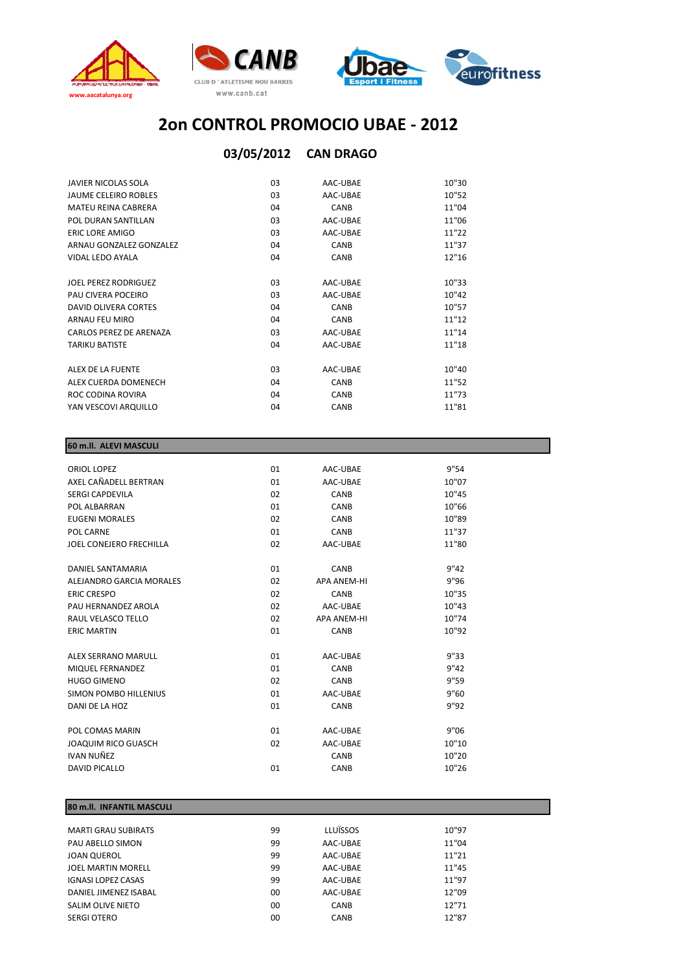

## **CAN DRAGO 03/05/2012**

| <b>JAVIER NICOLAS SOLA</b>  | 03 | AAC-UBAE    | 10"30 |
|-----------------------------|----|-------------|-------|
| <b>JAUME CELEIRO ROBLES</b> | 03 | AAC-UBAE    | 10"52 |
| <b>MATEU REINA CABRERA</b>  | 04 | CANB        | 11"04 |
| POL DURAN SANTILLAN         | 03 | AAC-UBAE    | 11"06 |
| ERIC LORE AMIGO             | 03 | AAC-UBAE    | 11"22 |
| ARNAU GONZALEZ GONZALEZ     | 04 | <b>CANB</b> | 11"37 |
| VIDAL LEDO AYALA            | 04 | <b>CANB</b> | 12"16 |
|                             |    |             |       |
| IOFL PEREZ RODRIGUEZ        | 03 | AAC-UBAE    | 10"33 |
| PAU CIVERA POCEIRO          | 03 | AAC-UBAE    | 10"42 |
| DAVID OLIVERA CORTES        | 04 | <b>CANB</b> | 10"57 |
| ARNALI FFIJ MIRO            | 04 | <b>CANB</b> | 11"12 |
| CARLOS PEREZ DE ARENAZA     | 03 | AAC-UBAE    | 11"14 |
| <b>TARIKU BATISTE</b>       | 04 | AAC-UBAE    | 11"18 |
| ALEX DE LA FUENTE           | 03 | AAC-UBAE    | 10"40 |
| ALEX CUERDA DOMENECH        | 04 | <b>CANB</b> | 11"52 |
| ROC CODINA ROVIRA           | 04 | CANB        | 11"73 |
| YAN VESCOVI ARQUILLO        | 04 | <b>CANB</b> | 11"81 |

| 60 m.II. ALEVI MASCULI         |    |                    |       |  |
|--------------------------------|----|--------------------|-------|--|
|                                | 01 | AAC-UBAE           | 9"54  |  |
| ORIOL LOPEZ                    |    |                    |       |  |
| AXEL CAÑADELL BERTRAN          | 01 | AAC-UBAE           | 10"07 |  |
| <b>SERGI CAPDEVILA</b>         | 02 | CANB               | 10"45 |  |
| POL ALBARRAN                   | 01 | <b>CANB</b>        | 10"66 |  |
| <b>EUGENI MORALES</b>          | 02 | <b>CANB</b>        | 10"89 |  |
| POL CARNE                      | 01 | CANB               | 11"37 |  |
| <b>JOEL CONEJERO FRECHILLA</b> | 02 | AAC-UBAE           | 11"80 |  |
| DANIEL SANTAMARIA              | 01 | CANB               | 9"42  |  |
| ALEJANDRO GARCIA MORALES       | 02 | <b>APA ANEM-HI</b> | 9"96  |  |
|                                |    |                    |       |  |
| <b>ERIC CRESPO</b>             | 02 | CANB               | 10"35 |  |
| PAU HERNANDEZ AROLA            | 02 | AAC-UBAE           | 10"43 |  |
| RAUL VELASCO TELLO             | 02 | <b>APA ANEM-HI</b> | 10"74 |  |
| <b>ERIC MARTIN</b>             | 01 | CANB               | 10"92 |  |
| ALEX SERRANO MARULL            | 01 | AAC-UBAE           | 9"33  |  |
| MIQUEL FERNANDEZ               | 01 | CANB               | 9"42  |  |
| <b>HUGO GIMENO</b>             | 02 | CANB               | 9"59  |  |
| SIMON POMBO HILLENIUS          | 01 | AAC-UBAE           | 9"60  |  |
| DANI DE LA HOZ                 | 01 | CANB               | 9"92  |  |
| POL COMAS MARIN                | 01 | AAC-UBAE           | 9"06  |  |
| <b>JOAQUIM RICO GUASCH</b>     | 02 | AAC-UBAE           | 10"10 |  |
| <b>IVAN NUÑEZ</b>              |    | CANB               | 10"20 |  |
|                                |    |                    |       |  |
| <b>DAVID PICALLO</b>           | 01 | <b>CANB</b>        | 10"26 |  |
|                                |    |                    |       |  |

## **80 m.ll. INFANTIL MASCULI**

| <b>MARTI GRAU SUBIRATS</b> | 99 | LLUÏSSOS    | 10"97 |
|----------------------------|----|-------------|-------|
| PAU ABELLO SIMON           | 99 | AAC-UBAE    | 11"04 |
| <b>JOAN QUEROL</b>         | 99 | AAC-UBAE    | 11"21 |
| JOEL MARTIN MORELL         | 99 | AAC-UBAE    | 11"45 |
| <b>IGNASI LOPEZ CASAS</b>  | 99 | AAC-UBAE    | 11"97 |
| DANIEL JIMENEZ ISABAL      | 00 | AAC-UBAE    | 12"09 |
| SALIM OLIVE NIETO          | 00 | CANB        | 12"71 |
| SERGI OTERO                | 00 | <b>CANB</b> | 12"87 |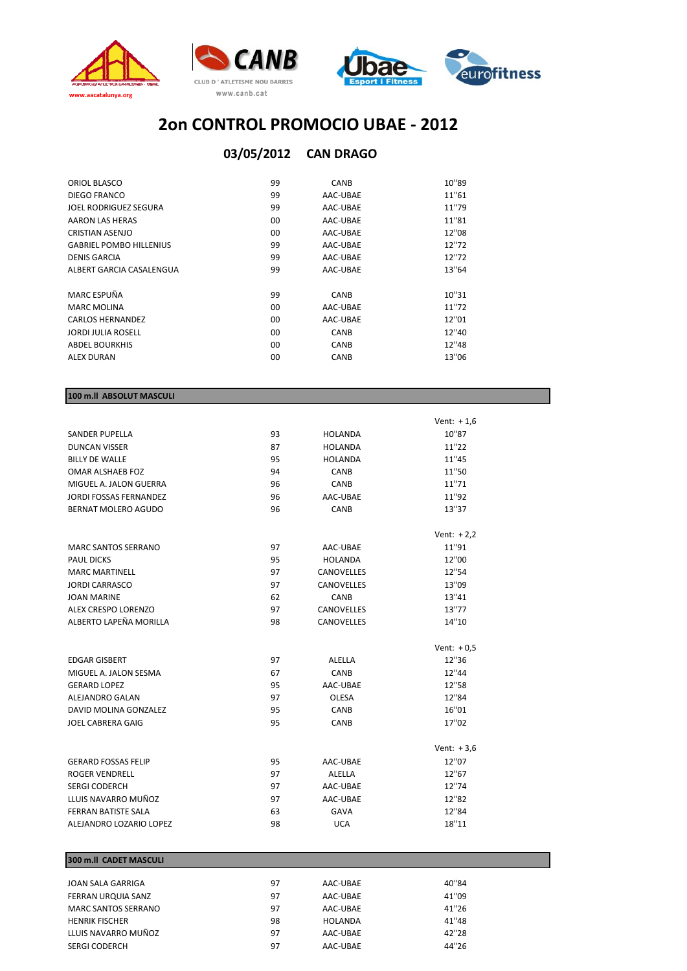

## **CAN DRAGO 03/05/2012**

| ORIOL BLASCO                   | 99      | CANB        | 10"89 |
|--------------------------------|---------|-------------|-------|
| DIEGO FRANCO                   | 99      | AAC-UBAE    | 11"61 |
| JOEL RODRIGUEZ SEGURA          | 99      | AAC-UBAE    | 11"79 |
| AARON LAS HERAS                | $00 \,$ | AAC-UBAE    | 11"81 |
| <b>CRISTIAN ASENJO</b>         | $00 \,$ | AAC-UBAE    | 12"08 |
| <b>GABRIEL POMBO HILLENIUS</b> | 99      | AAC-UBAE    | 12"72 |
| <b>DENIS GARCIA</b>            | 99      | AAC-UBAE    | 12"72 |
| ALBERT GARCIA CASALENGUA       | 99      | AAC-UBAE    | 13"64 |
|                                |         |             |       |
| MARC ESPUÑA                    | 99      | CANB        | 10"31 |
| <b>MARC MOLINA</b>             | 00      | AAC-UBAE    | 11"72 |
| <b>CARLOS HERNANDEZ</b>        | $00 \,$ | AAC-UBAE    | 12"01 |
| JORDI JULIA ROSELL             | 00      | <b>CANB</b> | 12"40 |
| <b>ABDEL BOURKHIS</b>          | $00 \,$ | CANB        | 12"48 |
| <b>ALEX DURAN</b>              | 00      | <b>CANB</b> | 13"06 |
|                                |         |             |       |

## **100 m.ll ABSOLUT MASCULI**

|                               |    |                   | Vent: $+1,6$ |
|-------------------------------|----|-------------------|--------------|
| <b>SANDER PUPELLA</b>         | 93 | <b>HOLANDA</b>    | 10"87        |
| <b>DUNCAN VISSER</b>          | 87 | <b>HOLANDA</b>    | 11"22        |
| <b>BILLY DE WALLE</b>         | 95 | <b>HOLANDA</b>    | 11"45        |
| OMAR ALSHAEB FOZ              | 94 | <b>CANB</b>       | 11"50        |
| MIGUEL A. JALON GUERRA        | 96 | <b>CANB</b>       | 11"71        |
| <b>JORDI FOSSAS FERNANDEZ</b> | 96 | AAC-UBAE          | 11"92        |
| <b>BERNAT MOLERO AGUDO</b>    | 96 | CANB              | 13"37        |
|                               |    |                   | Vent: $+2,2$ |
| <b>MARC SANTOS SERRANO</b>    | 97 | AAC-UBAE          | 11"91        |
| <b>PAUL DICKS</b>             | 95 | <b>HOLANDA</b>    | 12"00        |
| <b>MARC MARTINELL</b>         | 97 | <b>CANOVELLES</b> | 12"54        |
| <b>JORDI CARRASCO</b>         | 97 | <b>CANOVELLES</b> | 13"09        |
| <b>JOAN MARINE</b>            | 62 | CANB              | 13"41        |
| ALEX CRESPO LORENZO           | 97 | <b>CANOVELLES</b> | 13"77        |
| ALBERTO LAPEÑA MORILLA        | 98 | <b>CANOVELLES</b> | 14"10        |
|                               |    |                   | Vent: $+0,5$ |
| <b>EDGAR GISBERT</b>          | 97 | ALELLA            | 12"36        |
| MIGUEL A. JALON SESMA         | 67 | <b>CANB</b>       | 12"44        |
| <b>GERARD LOPEZ</b>           | 95 | AAC-UBAE          | 12"58        |
| ALEJANDRO GALAN               | 97 | <b>OLESA</b>      | 12"84        |
| DAVID MOLINA GONZALEZ         | 95 | CANB              | 16"01        |
| <b>JOEL CABRERA GAIG</b>      | 95 | <b>CANB</b>       | 17"02        |
|                               |    |                   | Vent: $+3,6$ |
| <b>GERARD FOSSAS FELIP</b>    | 95 | AAC-UBAE          | 12"07        |
| <b>ROGER VENDRELL</b>         | 97 | ALELLA            | 12"67        |
| <b>SERGI CODERCH</b>          | 97 | AAC-UBAE          | 12"74        |
| LLUIS NAVARRO MUÑOZ           | 97 | AAC-UBAE          | 12"82        |
| <b>FERRAN BATISTE SALA</b>    | 63 | <b>GAVA</b>       | 12"84        |
| ALEJANDRO LOZARIO LOPEZ       | 98 | <b>UCA</b>        | 18"11        |

## **300 m.ll CADET MASCULI**

| <b>JOAN SALA GARRIGA</b>   | 97 | AAC-UBAE | 40"84 |
|----------------------------|----|----------|-------|
| FERRAN URQUIA SANZ         | 97 | AAC-UBAE | 41"09 |
| <b>MARC SANTOS SERRANO</b> | 97 | AAC-UBAE | 41"26 |
| <b>HENRIK FISCHER</b>      | 98 | HOLANDA  | 41"48 |
| LLUIS NAVARRO MUÑOZ        | 97 | AAC-UBAE | 42"28 |
| SERGI CODERCH              | 97 | AAC-UBAE | 44"26 |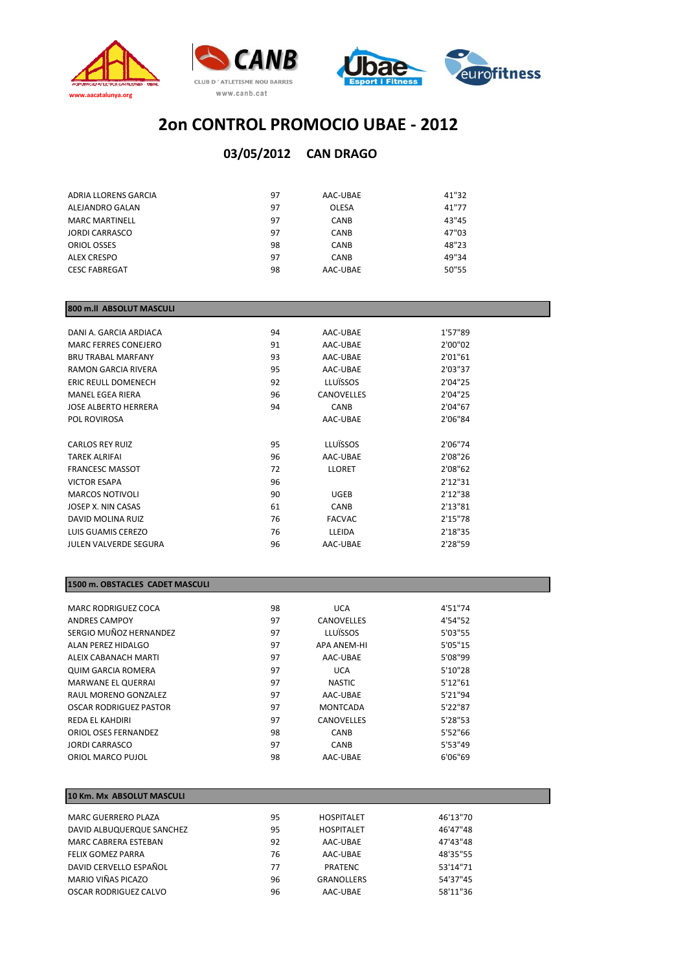

## **CAN DRAGO 03/05/2012**

| ADRIA LLORENS GARCIA  | 97 | AAC-UBAE     | 41"32 |
|-----------------------|----|--------------|-------|
| ALEJANDRO GALAN       | 97 | <b>OLESA</b> | 41"77 |
| <b>MARC MARTINELL</b> | 97 | CANB         | 43"45 |
| <b>JORDI CARRASCO</b> | 97 | CANB         | 47"03 |
| ORIOL OSSES           | 98 | <b>CANB</b>  | 48"23 |
| ALEX CRESPO           | 97 | <b>CANB</b>  | 49"34 |
| <b>CESC FABREGAT</b>  | 98 | AAC-UBAE     | 50"55 |

#### **800 m.ll ABSOLUT MASCULI**

| DANI A. GARCIA ARDIACA       | 94 | AAC-UBAE      | 1'57"89  |
|------------------------------|----|---------------|----------|
| MARC FERRES CONEJERO         | 91 | AAC-UBAE      | 2'00"02  |
| <b>BRU TRABAL MARFANY</b>    | 93 | AAC-UBAE      | 2'01"61  |
| <b>RAMON GARCIA RIVERA</b>   | 95 | AAC-UBAE      | 2'03"37  |
| <b>ERIC REULL DOMENECH</b>   | 92 | LLUÏSSOS      | 2'04"25  |
| MANEL EGEA RIERA             | 96 | CANOVELLES    | 2'04"25  |
| JOSE ALBERTO HERRERA         | 94 | <b>CANB</b>   | 2'04"67  |
| POL ROVIROSA                 |    | AAC-UBAE      | 2'06"84  |
|                              |    |               |          |
| <b>CARLOS REY RUIZ</b>       | 95 | LLUÏSSOS      | 2'06"74  |
| <b>TAREK ALRIFAI</b>         | 96 | AAC-UBAE      | 2'08"26  |
| <b>FRANCESC MASSOT</b>       | 72 | <b>LLORET</b> | 2'08"62  |
| <b>VICTOR ESAPA</b>          | 96 |               | 2'12''31 |
| <b>MARCOS NOTIVOLI</b>       | 90 | <b>UGEB</b>   | 2'12"38  |
| JOSEP X. NIN CASAS           | 61 | <b>CANB</b>   | 2'13"81  |
| DAVID MOLINA RUIZ            | 76 | <b>FACVAC</b> | 2'15"78  |
| LUIS GUAMIS CEREZO           | 76 | LLEIDA        | 2'18"35  |
| <b>JULEN VALVERDE SEGURA</b> | 96 | AAC-UBAE      | 2'28"59  |
|                              |    |               |          |

#### **1500 m. OBSTACLES CADET MASCULI**

| MARC RODRIGUEZ COCA       | 98 | <b>UCA</b>         | 4'51"74  |
|---------------------------|----|--------------------|----------|
| <b>ANDRES CAMPOY</b>      | 97 | CANOVELLES         | 4'54"52  |
| SERGIO MUÑOZ HERNANDEZ    | 97 | LLUÏSSOS           | 5'03"55  |
| ALAN PEREZ HIDALGO        | 97 | <b>APA ANEM-HI</b> | 5'05"15  |
| ALEIX CABANACH MARTI      | 97 | AAC-UBAE           | 5'08"99  |
| <b>QUIM GARCIA ROMERA</b> | 97 | <b>UCA</b>         | 5'10''28 |
| <b>MARWANE EL QUERRAI</b> | 97 | <b>NASTIC</b>      | 5'12''61 |
| RAUL MORENO GONZALEZ      | 97 | AAC-UBAE           | 5'21"94  |
| OSCAR RODRIGUEZ PASTOR    | 97 | <b>MONTCADA</b>    | 5'22"87  |
| REDA FI KAHDIRI           | 97 | CANOVELLES         | 5'28"53  |
| ORIOL OSES FERNANDEZ      | 98 | <b>CANB</b>        | 5'52"66  |
| <b>JORDI CARRASCO</b>     | 97 | CANB               | 5'53"49  |
| ORIOL MARCO PUJOL         | 98 | AAC-UBAE           | 6'06"69  |
|                           |    |                    |          |

#### **10 Km. Mx ABSOLUT MASCULI** MARC GUERRERO PLAZA 95 HOSPITALET 46'13"70 DAVID ALBUQUERQUE SANCHEZ 95 MARC CABRERA ESTEBAN 192 AAC-UBAE 47'43"48 FELIX GOMEZ PARRA 76 AAC‐UBAE 48'35"55 DAVID CERVELLO ESPAÑOL 77 PRATENC 53'14"71 MARIO VIÑAS PICAZO 96 GRANOLLERS 54'37"45 OSCAR RODRIGUEZ CALVO 96 AAC-UBAE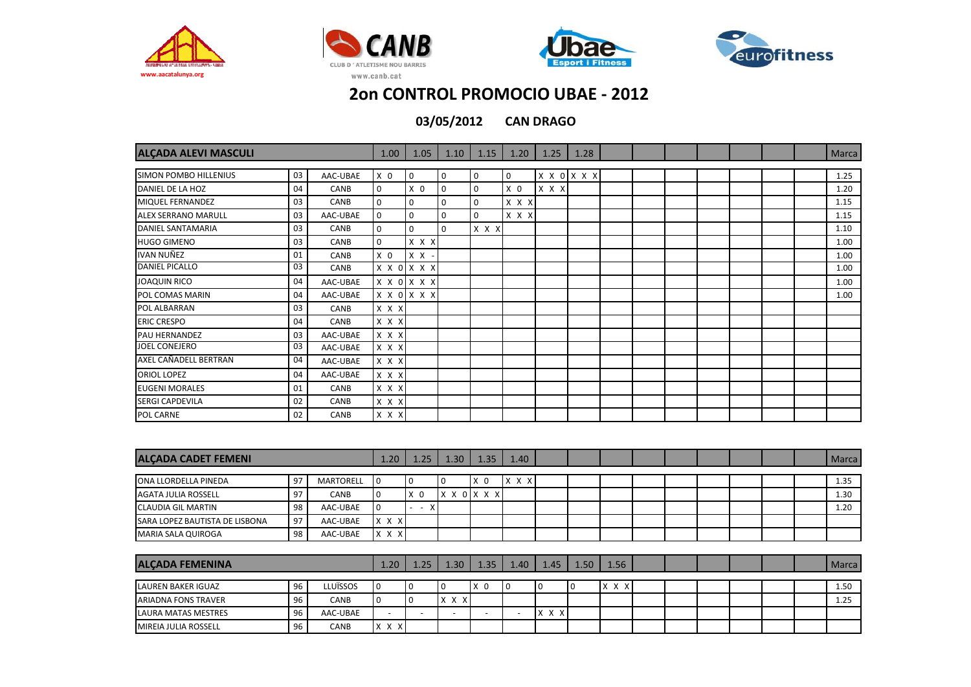







| <b>ALÇADA ALEVI MASCULI</b> |    |          |                | 1.05           | 1.10           | 1.15        | 1.20           | 1.25  | 1.28        |  |  |  | <b>Marca</b> |
|-----------------------------|----|----------|----------------|----------------|----------------|-------------|----------------|-------|-------------|--|--|--|--------------|
| SIMON POMBO HILLENIUS       | 03 | AAC-UBAE | X <sub>0</sub> | $\overline{0}$ | $\overline{0}$ | 0           | $\overline{0}$ |       | X X 0 X X X |  |  |  | 1.25         |
| DANIEL DE LA HOZ            | 04 | CANB     | $\mathbf 0$    | $X$ 0          | $\mathbf 0$    | $\mathbf 0$ | X <sub>0</sub> | X X X |             |  |  |  | 1.20         |
| MIQUEL FERNANDEZ            | 03 | CANB     | $\mathbf 0$    | 0              | $\overline{0}$ | $\mathbf 0$ | X X X          |       |             |  |  |  | 1.15         |
| <b>ALEX SERRANO MARULL</b>  | 03 | AAC-UBAE | $\mathbf 0$    | $\mathbf{0}$   | $\Omega$       | $\Omega$    | X X X          |       |             |  |  |  | 1.15         |
| DANIEL SANTAMARIA           | 03 | CANB     | $\mathbf 0$    | $\mathbf 0$    | $\mathbf 0$    | X X X       |                |       |             |  |  |  | 1.10         |
| <b>HUGO GIMENO</b>          | 03 | CANB     | $\Omega$       | X X X          |                |             |                |       |             |  |  |  | 1.00         |
| <b>IVAN NUÑEZ</b>           | 01 | CANB     | X <sub>0</sub> | $X$ $X$ -      |                |             |                |       |             |  |  |  | 1.00         |
| <b>DANIEL PICALLO</b>       | 03 | CANB     |                | X X O X X X    |                |             |                |       |             |  |  |  | 1.00         |
| <b>JOAQUIN RICO</b>         | 04 | AAC-UBAE |                | X X O X X X    |                |             |                |       |             |  |  |  | 1.00         |
| POL COMAS MARIN             | 04 | AAC-UBAE |                | X X O X X X    |                |             |                |       |             |  |  |  | 1.00         |
| POL ALBARRAN                | 03 | CANB     | X X X          |                |                |             |                |       |             |  |  |  |              |
| <b>ERIC CRESPO</b>          | 04 | CANB     | X X X          |                |                |             |                |       |             |  |  |  |              |
| PAU HERNANDEZ               | 03 | AAC-UBAE | X X X          |                |                |             |                |       |             |  |  |  |              |
| <b>JOEL CONEJERO</b>        | 03 | AAC-UBAE | X X X          |                |                |             |                |       |             |  |  |  |              |
| AXEL CAÑADELL BERTRAN       | 04 | AAC-UBAE | X X X          |                |                |             |                |       |             |  |  |  |              |
| <b>ORIOL LOPEZ</b>          | 04 | AAC-UBAE | X X X          |                |                |             |                |       |             |  |  |  |              |
| <b>EUGENI MORALES</b>       | 01 | CANB     | X X X          |                |                |             |                |       |             |  |  |  |              |
| SERGI CAPDEVILA             | 02 | CANB     | X X X          |                |                |             |                |       |             |  |  |  |              |
| POL CARNE                   | 02 | CANB     | X X X          |                |                |             |                |       |             |  |  |  |              |

| <b>ALCADA CADET FEMENI</b>     |    |                  | 1.20                     | 1.25           | 1.30                     | 1.35                     | 1.40                     |             |      |       |  |  |  | Marca |
|--------------------------------|----|------------------|--------------------------|----------------|--------------------------|--------------------------|--------------------------|-------------|------|-------|--|--|--|-------|
|                                |    |                  |                          |                |                          |                          |                          |             |      |       |  |  |  |       |
| ONA LLORDELLA PINEDA           | 97 | <b>MARTORELL</b> | 0                        |                |                          | X <sub>0</sub>           | X X X                    |             |      |       |  |  |  | 1.35  |
| <b>AGATA JULIA ROSSELL</b>     | 97 | <b>CANB</b>      |                          | X <sub>0</sub> |                          | X X O X X X              |                          |             |      |       |  |  |  | 1.30  |
| <b>CLAUDIA GIL MARTIN</b>      | 98 | AAC-UBAE         | O                        | X<br>. .       |                          |                          |                          |             |      |       |  |  |  | 1.20  |
| SARA LOPEZ BAUTISTA DE LISBONA | 97 | AAC-UBAE         | $X$ $X$ $X$              |                |                          |                          |                          |             |      |       |  |  |  |       |
| <b>MARIA SALA QUIROGA</b>      | 98 | AAC-UBAE         | X X X                    |                |                          |                          |                          |             |      |       |  |  |  |       |
|                                |    |                  |                          |                |                          |                          |                          |             |      |       |  |  |  |       |
| <b>ALÇADA FEMENINA</b>         |    |                  | 1.20                     | 1.25           | 1.30                     | 1.35                     | 1.40                     | 1.45        | 1.50 | 1.56  |  |  |  | Marca |
| <b>LAUREN BAKER IGUAZ</b>      | 96 | <b>LLUÏSSOS</b>  | 0                        |                |                          | X <sub>0</sub>           | 10                       | $\Omega$    |      | X X X |  |  |  | 1.50  |
| <b>ARIADNA FONS TRAVER</b>     | 96 | <b>CANB</b>      |                          | 10             | $X$ $X$ $X$              |                          |                          |             |      |       |  |  |  | 1.25  |
| <b>LAURA MATAS MESTRES</b>     | 96 | AAC-UBAE         | $\overline{\phantom{a}}$ |                | $\overline{\phantom{0}}$ | $\overline{\phantom{a}}$ | $\overline{\phantom{a}}$ | $X$ $X$ $X$ |      |       |  |  |  |       |
| <b>MIREIA JULIA ROSSELL</b>    | 96 | CANB             | X X X                    |                |                          |                          |                          |             |      |       |  |  |  |       |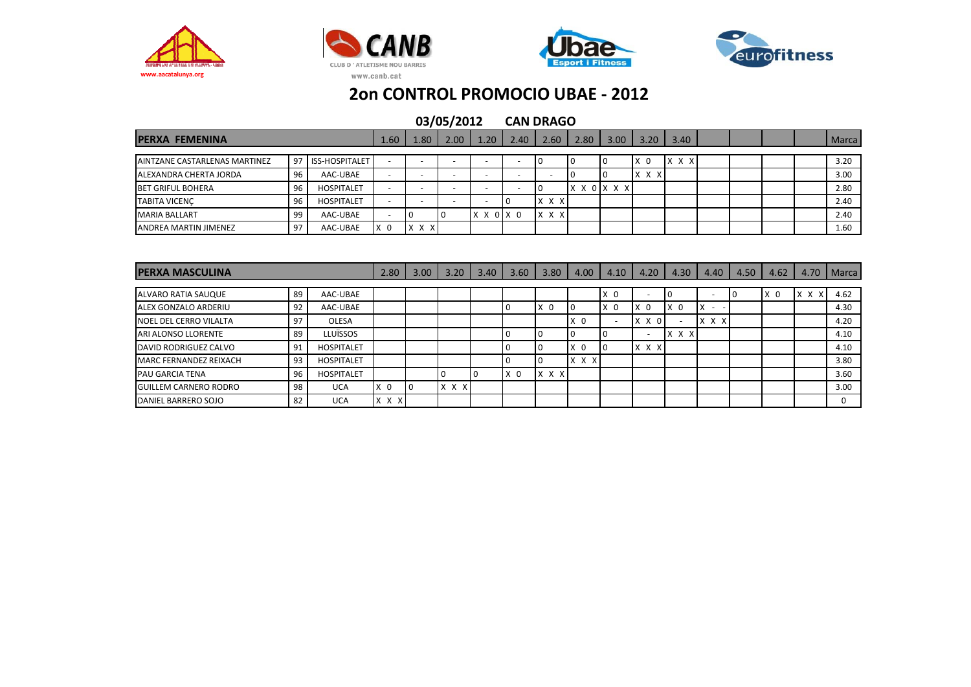







| <b>PERXA FEMENINA</b>         |    |                       | 1.60                     | 1.80            | 2.00 | 1.20                     | 2.40                     | 2.60  | 2.80 | 3.00                      | 3.20          | 3.40  |  |  | Marca |
|-------------------------------|----|-----------------------|--------------------------|-----------------|------|--------------------------|--------------------------|-------|------|---------------------------|---------------|-------|--|--|-------|
|                               |    |                       |                          |                 |      |                          |                          |       |      |                           |               |       |  |  |       |
| AINTZANE CASTARLENAS MARTINEZ | 97 | <b>ISS-HOSPITALET</b> | -                        | -               |      |                          | -                        |       |      |                           | X<br>$\Omega$ | x x x |  |  | 3.20  |
| ALEXANDRA CHERTA JORDA        | 96 | AAC-UBAE              | $\overline{\phantom{0}}$ |                 |      | <b>1</b>                 | $\overline{\phantom{0}}$ |       |      |                           | X X X         |       |  |  | 3.00  |
| <b>BET GRIFUL BOHERA</b>      | 96 | <b>HOSPITALET</b>     | $\overline{\phantom{a}}$ |                 |      | $\overline{\phantom{a}}$ | $\overline{\phantom{0}}$ |       |      | $X \times 0$ $X \times X$ |               |       |  |  | 2.80  |
| <b>TABITA VICENC</b>          | 96 | <b>HOSPITALET</b>     | $\overline{\phantom{0}}$ |                 |      |                          |                          | X X X |      |                           |               |       |  |  | 2.40  |
| <b>MARIA BALLART</b>          | 99 | AAC-UBAE              |                          |                 |      | $X$ $X$ $0$ $X$ $0$      |                          | X X X |      |                           |               |       |  |  | 2.40  |
| <b>ANDREA MARTIN JIMENEZ</b>  | 97 | AAC-UBAE              | $\mathbf{0}$<br>X        | X X<br><b>X</b> |      |                          |                          |       |      |                           |               |       |  |  | 1.60  |

| <b>IPERXA MASCULINA</b>      |    |                   | 2.80           | 3.00 | 3.20        | 3.40 | 3.60           | 3.80           | 4.00           | 4.10     | 4.20           | 4.30           | 4.40                     | 4.50 | 4.62           | 4.70  | Marca |
|------------------------------|----|-------------------|----------------|------|-------------|------|----------------|----------------|----------------|----------|----------------|----------------|--------------------------|------|----------------|-------|-------|
|                              |    |                   |                |      |             |      |                |                |                |          |                |                |                          |      |                |       |       |
| ALVARO RATIA SAUQUE          | 89 | AAC-UBAE          |                |      |             |      |                |                |                | X<br>- 0 |                |                | $\overline{\phantom{0}}$ |      | X <sub>0</sub> | x x x | 4.62  |
| ALEX GONZALO ARDERIU         | 92 | AAC-UBAE          |                |      |             |      |                | X <sub>0</sub> |                | - 0<br>x | X <sub>0</sub> | X <sub>0</sub> | X<br>. .                 |      |                |       | 4.30  |
| NOEL DEL CERRO VILALTA       | 97 | OLESA             |                |      |             |      |                |                | X <sub>0</sub> |          | X X 0          |                | X X<br>X                 |      |                |       | 4.20  |
| <b>ARI ALONSO LLORENTE</b>   | 89 | <b>LLUÏSSOS</b>   |                |      |             |      |                |                |                |          |                | X X X          |                          |      |                |       | 4.10  |
| DAVID RODRIGUEZ CALVO        | 91 | <b>HOSPITALET</b> |                |      |             |      |                |                | $\Omega$<br>X  |          | X X X          |                |                          |      |                |       | 4.10  |
| MARC FERNANDEZ REIXACH       | 93 | <b>HOSPITALET</b> |                |      |             |      |                |                | $X$ $X$ $X$    |          |                |                |                          |      |                |       | 3.80  |
| <b>PAU GARCIA TENA</b>       | 96 | <b>HOSPITALET</b> |                |      |             |      | X <sub>0</sub> | X X X          |                |          |                |                |                          |      |                |       | 3.60  |
| <b>GUILLEM CARNERO RODRO</b> | 98 | <b>UCA</b>        | X <sub>0</sub> | l O  | $X$ $X$ $X$ |      |                |                |                |          |                |                |                          |      |                |       | 3.00  |
| DANIEL BARRERO SOJO          | 82 | <b>UCA</b>        | $X \times X$   |      |             |      |                |                |                |          |                |                |                          |      |                |       | 0     |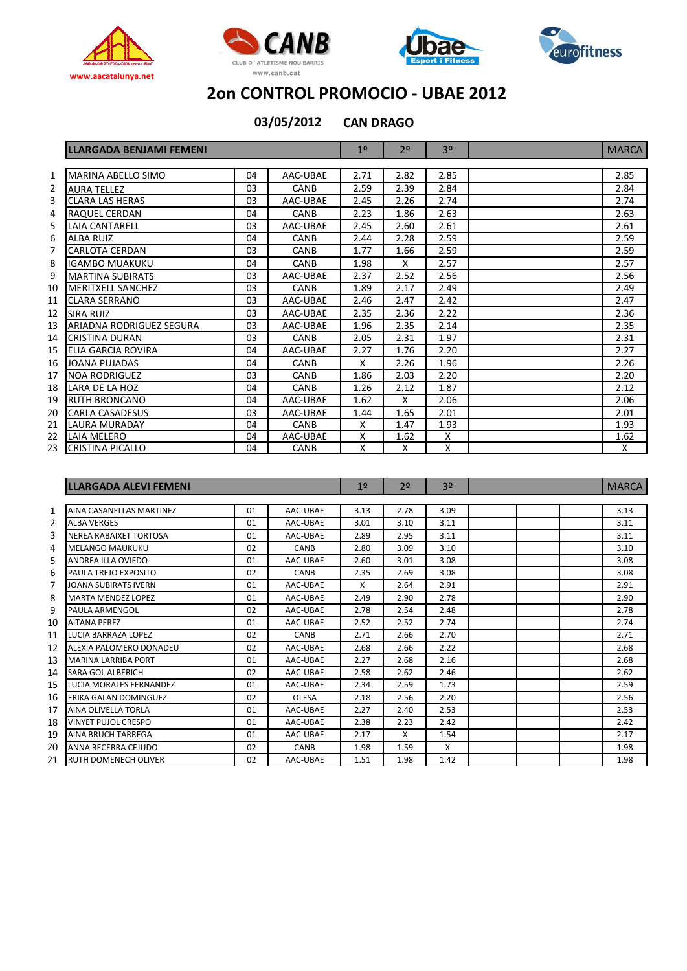







**03/05/2012**

**CAN DRAGO**

|    | <b>LLARGADA BENJAMI FEMENI</b> |    |          | 1 <sup>°</sup> | 2 <sup>0</sup> | 3 <sup>o</sup> | <b>MARCA</b> |
|----|--------------------------------|----|----------|----------------|----------------|----------------|--------------|
|    |                                |    |          |                |                |                |              |
| 1  | MARINA ABELLO SIMO             | 04 | AAC-UBAE | 2.71           | 2.82           | 2.85           | 2.85         |
| 2  | <b>AURA TELLEZ</b>             | 03 | CANB     | 2.59           | 2.39           | 2.84           | 2.84         |
| 3  | <b>CLARA LAS HERAS</b>         | 03 | AAC-UBAE | 2.45           | 2.26           | 2.74           | 2.74         |
| 4  | RAQUEL CERDAN                  | 04 | CANB     | 2.23           | 1.86           | 2.63           | 2.63         |
| 5  | LAIA CANTARELL                 | 03 | AAC-UBAE | 2.45           | 2.60           | 2.61           | 2.61         |
| 6  | <b>ALBA RUIZ</b>               | 04 | CANB     | 2.44           | 2.28           | 2.59           | 2.59         |
| 7  | <b>CARLOTA CERDAN</b>          | 03 | CANB     | 1.77           | 1.66           | 2.59           | 2.59         |
| 8  | IGAMBO MUAKUKU                 | 04 | CANB     | 1.98           | X              | 2.57           | 2.57         |
| 9  | <b>MARTINA SUBIRATS</b>        | 03 | AAC-UBAE | 2.37           | 2.52           | 2.56           | 2.56         |
| 10 | <b>MERITXELL SANCHEZ</b>       | 03 | CANB     | 1.89           | 2.17           | 2.49           | 2.49         |
| 11 | <b>CLARA SERRANO</b>           | 03 | AAC-UBAE | 2.46           | 2.47           | 2.42           | 2.47         |
| 12 | <b>SIRA RUIZ</b>               | 03 | AAC-UBAE | 2.35           | 2.36           | 2.22           | 2.36         |
| 13 | ARIADNA RODRIGUEZ SEGURA       | 03 | AAC-UBAE | 1.96           | 2.35           | 2.14           | 2.35         |
| 14 | CRISTINA DURAN                 | 03 | CANB     | 2.05           | 2.31           | 1.97           | 2.31         |
| 15 | ELIA GARCIA ROVIRA             | 04 | AAC-UBAE | 2.27           | 1.76           | 2.20           | 2.27         |
| 16 | JOANA PUJADAS                  | 04 | CANB     | X              | 2.26           | 1.96           | 2.26         |
| 17 | <b>NOA RODRIGUEZ</b>           | 03 | CANB     | 1.86           | 2.03           | 2.20           | 2.20         |
| 18 | LARA DE LA HOZ                 | 04 | CANB     | 1.26           | 2.12           | 1.87           | 2.12         |
| 19 | <b>RUTH BRONCANO</b>           | 04 | AAC-UBAE | 1.62           | X              | 2.06           | 2.06         |
| 20 | <b>CARLA CASADESUS</b>         | 03 | AAC-UBAE | 1.44           | 1.65           | 2.01           | 2.01         |
| 21 | <b>LAURA MURADAY</b>           | 04 | CANB     | X              | 1.47           | 1.93           | 1.93         |
| 22 | LAIA MELERO                    | 04 | AAC-UBAE | X              | 1.62           | Χ              | 1.62         |
| 23 | <b>ICRISTINA PICALLO</b>       | 04 | CANB     | X              | X              | X              | X            |

|    | LLARGADA ALEVI FEMENI       |    | 19           | 2 <sup>0</sup> | 3 <sup>o</sup> |                           | <b>MARCA</b> |      |
|----|-----------------------------|----|--------------|----------------|----------------|---------------------------|--------------|------|
|    |                             |    |              |                |                |                           |              |      |
| 1  | AINA CASANELLAS MARTINEZ    | 01 | AAC-UBAE     | 3.13           | 2.78           | 3.09                      |              | 3.13 |
| 2  | <b>ALBA VERGES</b>          | 01 | AAC-UBAE     | 3.01           | 3.10           | 3.11                      |              | 3.11 |
| 3  | NEREA RABAIXET TORTOSA      | 01 | AAC-UBAE     | 2.89           | 2.95           | 3.11                      |              | 3.11 |
| 4  | <b>MELANGO MAUKUKU</b>      | 02 | CANB         | 2.80           | 3.09           | 3.10                      |              | 3.10 |
| 5  | <b>ANDREA ILLA OVIEDO</b>   | 01 | AAC-UBAE     | 2.60           | 3.01           | 3.08                      |              | 3.08 |
| 6  | PAULA TREJO EXPOSITO        | 02 | CANB         | 2.35           | 2.69           | 3.08                      |              | 3.08 |
| 7  | <b>JOANA SUBIRATS IVERN</b> | 01 | AAC-UBAE     | X              | 2.64           | 2.91                      |              | 2.91 |
| 8  | <b>MARTA MENDEZ LOPEZ</b>   | 01 | AAC-UBAE     | 2.49           | 2.90           | 2.78                      |              | 2.90 |
| 9  | <b>PAULA ARMENGOL</b>       | 02 | AAC-UBAE     | 2.78           | 2.54           | 2.48                      |              | 2.78 |
| 10 | <b>AITANA PEREZ</b>         | 01 | AAC-UBAE     | 2.52           | 2.52           | 2.74                      |              | 2.74 |
| 11 | LUCIA BARRAZA LOPEZ         | 02 | CANB         | 2.71           | 2.66           | 2.70                      |              | 2.71 |
| 12 | ALEXIA PALOMERO DONADEU     | 02 | AAC-UBAE     | 2.68           | 2.66           | 2.22                      |              | 2.68 |
| 13 | <b>MARINA LARRIBA PORT</b>  | 01 | AAC-UBAE     | 2.27           | 2.68           | 2.16                      |              | 2.68 |
| 14 | SARA GOL ALBERICH           | 02 | AAC-UBAE     | 2.58           | 2.62           | 2.46                      |              | 2.62 |
| 15 | LUCIA MORALES FERNANDEZ     | 01 | AAC-UBAE     | 2.34           | 2.59           | 1.73                      |              | 2.59 |
| 16 | ERIKA GALAN DOMINGUEZ       | 02 | <b>OLESA</b> | 2.18           | 2.56           | 2.20                      |              | 2.56 |
| 17 | <b>AINA OLIVELLA TORLA</b>  | 01 | AAC-UBAE     | 2.27           | 2.40           | 2.53                      |              | 2.53 |
| 18 | <b>VINYET PUJOL CRESPO</b>  | 01 | AAC-UBAE     | 2.38           | 2.23           | 2.42                      |              | 2.42 |
| 19 | <b>AINA BRUCH TARREGA</b>   | 01 | AAC-UBAE     | 2.17           | X              | 1.54                      |              | 2.17 |
| 20 | ANNA BECERRA CEJUDO         | 02 | CANB         | 1.98           | 1.59           | $\boldsymbol{\mathsf{x}}$ |              | 1.98 |
| 21 | <b>RUTH DOMENECH OLIVER</b> | 02 | AAC-UBAE     | 1.51           | 1.98           | 1.42                      |              | 1.98 |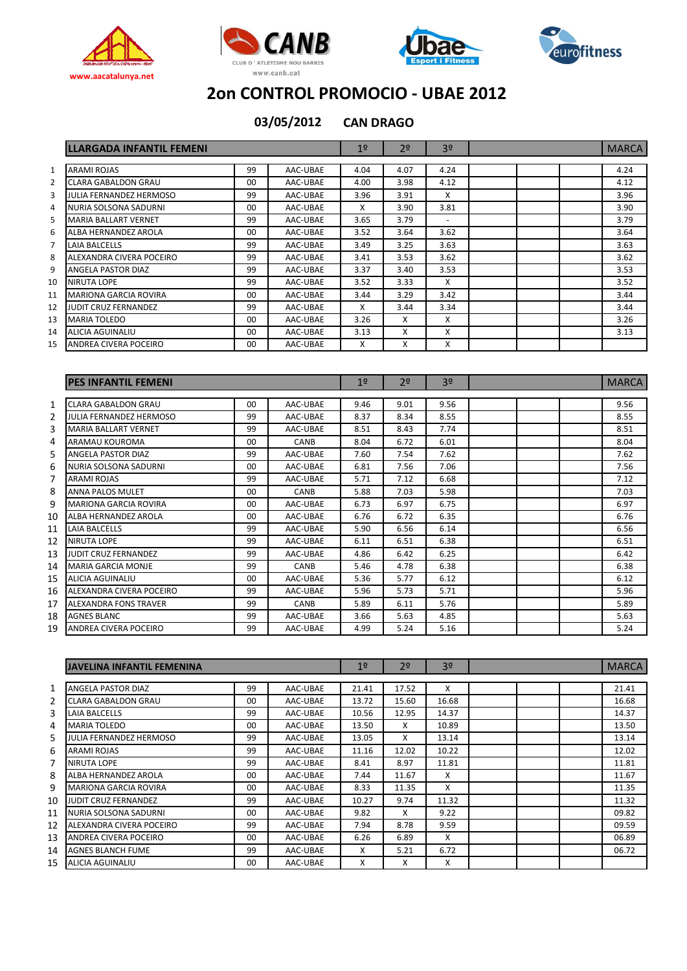







|    | <b>LLARGADA INFANTIL FEMENI</b> |         |          | 1 <sup>°</sup> | 2 <sup>o</sup> | 3 <sup>o</sup>           | <b>MARCA</b> |
|----|---------------------------------|---------|----------|----------------|----------------|--------------------------|--------------|
| 1  | <b>ARAMI ROJAS</b>              | 99      | AAC-UBAE | 4.04           | 4.07           | 4.24                     | 4.24         |
| 2  | <b>CLARA GABALDON GRAU</b>      | $00 \,$ | AAC-UBAE | 4.00           | 3.98           | 4.12                     | 4.12         |
|    | JULIA FERNANDEZ HERMOSO         | 99      | AAC-UBAE | 3.96           | 3.91           | X                        | 3.96         |
| 4  | NURIA SOLSONA SADURNI           | $00 \,$ | AAC-UBAE | X              | 3.90           | 3.81                     | 3.90         |
|    | <b>MARIA BALLART VERNET</b>     | 99      | AAC-UBAE | 3.65           | 3.79           | $\overline{\phantom{a}}$ | 3.79         |
| 6  | ALBA HERNANDEZ AROLA            | $00 \,$ | AAC-UBAE | 3.52           | 3.64           | 3.62                     | 3.64         |
|    | LAIA BALCELLS                   | 99      | AAC-UBAE | 3.49           | 3.25           | 3.63                     | 3.63         |
|    | ALEXANDRA CIVERA POCEIRO        | 99      | AAC-UBAE | 3.41           | 3.53           | 3.62                     | 3.62         |
|    | ANGELA PASTOR DIAZ              | 99      | AAC-UBAE | 3.37           | 3.40           | 3.53                     | 3.53         |
| 10 | NIRUTA LOPE                     | 99      | AAC-UBAE | 3.52           | 3.33           | X                        | 3.52         |
| 11 | <b>MARIONA GARCIA ROVIRA</b>    | $00 \,$ | AAC-UBAE | 3.44           | 3.29           | 3.42                     | 3.44         |
| 12 | JUDIT CRUZ FERNANDEZ            | 99      | AAC-UBAE | X              | 3.44           | 3.34                     | 3.44         |
| 13 | <b>MARIA TOLEDO</b>             | 00      | AAC-UBAE | 3.26           | X              | X                        | 3.26         |
| 14 | ALICIA AGUINALIU                | $00 \,$ | AAC-UBAE | 3.13           | X              | X                        | 3.13         |
| 15 | ANDREA CIVERA POCEIRO           | 00      | AAC-UBAE | X              | X              | X                        |              |

|    | <b>IPES INFANTIL FEMENI</b>    |         |          | 1 <sup>°</sup> | 2 <sup>o</sup> | 3 <sup>o</sup> | <b>MARCA</b> |
|----|--------------------------------|---------|----------|----------------|----------------|----------------|--------------|
|    |                                |         |          |                |                |                |              |
| 1  | <b>CLARA GABALDON GRAU</b>     | $00 \,$ | AAC-UBAE | 9.46           | 9.01           | 9.56           | 9.56         |
| 2  | <b>JULIA FERNANDEZ HERMOSO</b> | 99      | AAC-UBAE | 8.37           | 8.34           | 8.55           | 8.55         |
| 3  | <b>MARIA BALLART VERNET</b>    | 99      | AAC-UBAE | 8.51           | 8.43           | 7.74           | 8.51         |
| 4  | ARAMAU KOUROMA                 | 00      | CANB     | 8.04           | 6.72           | 6.01           | 8.04         |
| 5  | ANGELA PASTOR DIAZ             | 99      | AAC-UBAE | 7.60           | 7.54           | 7.62           | 7.62         |
| 6  | NURIA SOLSONA SADURNI          | $00 \,$ | AAC-UBAE | 6.81           | 7.56           | 7.06           | 7.56         |
| 7  | ARAMI ROJAS                    | 99      | AAC-UBAE | 5.71           | 7.12           | 6.68           | 7.12         |
| 8  | <b>ANNA PALOS MULET</b>        | $00 \,$ | CANB     | 5.88           | 7.03           | 5.98           | 7.03         |
| 9  | <b>MARIONA GARCIA ROVIRA</b>   | $00 \,$ | AAC-UBAE | 6.73           | 6.97           | 6.75           | 6.97         |
| 10 | ALBA HERNANDEZ AROLA           | 00      | AAC-UBAE | 6.76           | 6.72           | 6.35           | 6.76         |
| 11 | LAIA BALCELLS                  | 99      | AAC-UBAE | 5.90           | 6.56           | 6.14           | 6.56         |
| 12 | <b>NIRUTA LOPE</b>             | 99      | AAC-UBAE | 6.11           | 6.51           | 6.38           | 6.51         |
| 13 | JUDIT CRUZ FERNANDEZ           | 99      | AAC-UBAE | 4.86           | 6.42           | 6.25           | 6.42         |
| 14 | <b>MARIA GARCIA MONJE</b>      | 99      | CANB     | 5.46           | 4.78           | 6.38           | 6.38         |
| 15 | <b>ALICIA AGUINALIU</b>        | 00      | AAC-UBAE | 5.36           | 5.77           | 6.12           | 6.12         |
| 16 | ALEXANDRA CIVERA POCEIRO       | 99      | AAC-UBAE | 5.96           | 5.73           | 5.71           | 5.96         |
| 17 | <b>ALEXANDRA FONS TRAVER</b>   | 99      | CANB     | 5.89           | 6.11           | 5.76           | 5.89         |
| 18 | <b>AGNES BLANC</b>             | 99      | AAC-UBAE | 3.66           | 5.63           | 4.85           | 5.63         |
| 19 | ANDREA CIVERA POCEIRO          | 99      | AAC-UBAE | 4.99           | 5.24           | 5.16           | 5.24         |

|    | IJAVELINA INFANTIL FEMENINA    |         |          | 19    | 2 <sup>0</sup> | 3 <sup>o</sup> |  | <b>MARCA</b> |
|----|--------------------------------|---------|----------|-------|----------------|----------------|--|--------------|
|    |                                |         |          |       |                |                |  |              |
| 1  | ANGELA PASTOR DIAZ             | 99      | AAC-UBAE | 21.41 | 17.52          | x              |  | 21.41        |
| 2  | CLARA GABALDON GRAU            | 00      | AAC-UBAE | 13.72 | 15.60          | 16.68          |  | 16.68        |
| 3  | LAIA BALCELLS                  | 99      | AAC-UBAE | 10.56 | 12.95          | 14.37          |  | 14.37        |
| 4  | <b>MARIA TOLEDO</b>            | 00      | AAC-UBAE | 13.50 | X              | 10.89          |  | 13.50        |
| 5  | <b>JULIA FERNANDEZ HERMOSO</b> | 99      | AAC-UBAE | 13.05 | X              | 13.14          |  | 13.14        |
| 6  | ARAMI ROJAS                    | 99      | AAC-UBAE | 11.16 | 12.02          | 10.22          |  | 12.02        |
| 7  | <b>NIRUTA LOPE</b>             | 99      | AAC-UBAE | 8.41  | 8.97           | 11.81          |  | 11.81        |
| 8  | ALBA HERNANDEZ AROLA           | 00      | AAC-UBAE | 7.44  | 11.67          | X              |  | 11.67        |
| 9  | <b>MARIONA GARCIA ROVIRA</b>   | 00      | AAC-UBAE | 8.33  | 11.35          | X              |  | 11.35        |
| 10 | JUDIT CRUZ FERNANDEZ           | 99      | AAC-UBAE | 10.27 | 9.74           | 11.32          |  | 11.32        |
| 11 | NURIA SOLSONA SADURNI          | 00      | AAC-UBAE | 9.82  | x              | 9.22           |  | 09.82        |
| 12 | ALEXANDRA CIVERA POCEIRO       | 99      | AAC-UBAE | 7.94  | 8.78           | 9.59           |  | 09.59        |
| 13 | ANDREA CIVERA POCEIRO          | $00 \,$ | AAC-UBAE | 6.26  | 6.89           | X              |  | 06.89        |
| 14 | <b>AGNES BLANCH FUME</b>       | 99      | AAC-UBAE | X     | 5.21           | 6.72           |  | 06.72        |
| 15 | ALICIA AGUINALIU               | $00 \,$ | AAC-UBAE | X     | X              | X              |  |              |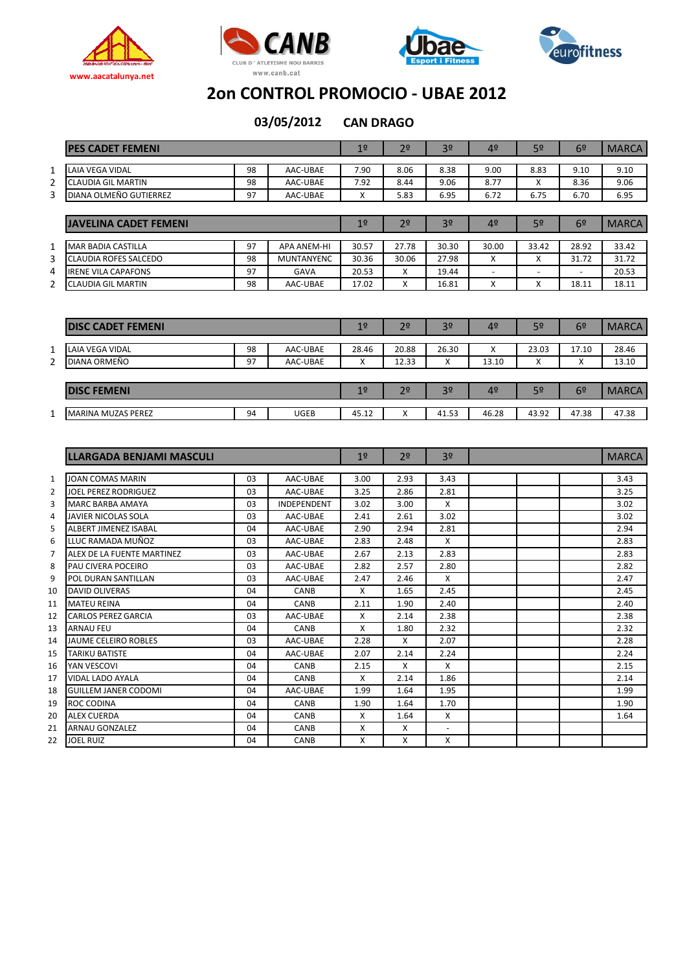







|              | <b>PES CADET FEMENI</b>      |    |                    | 1 <sup>°</sup> | 2 <sup>0</sup> | 3 <sup>o</sup> | 4º                       | 5 <sup>o</sup>           | 6 <sup>2</sup>           | <b>MARCA</b> |
|--------------|------------------------------|----|--------------------|----------------|----------------|----------------|--------------------------|--------------------------|--------------------------|--------------|
|              |                              |    |                    |                |                |                |                          |                          |                          |              |
| 1            | LAIA VEGA VIDAL              | 98 | AAC-UBAE           | 7.90           | 8.06           | 8.38           | 9.00                     | 8.83                     | 9.10                     | 9.10         |
| 2            | CLAUDIA GIL MARTIN           | 98 | AAC-UBAE           | 7.92           | 8.44           | 9.06           | 8.77                     | X                        | 8.36                     | 9.06         |
| 3            | DIANA OLMEÑO GUTIERREZ       | 97 | AAC-UBAE           | X              | 5.83           | 6.95           | 6.72                     | 6.75                     | 6.70                     | 6.95         |
|              |                              |    |                    |                |                |                |                          |                          |                          |              |
|              | <b>JAVELINA CADET FEMENI</b> |    |                    | 1 <sup>°</sup> | 2 <sup>o</sup> | 3 <sup>o</sup> | 4º                       | 5 <sup>o</sup>           | 6 <sup>2</sup>           | <b>MARCA</b> |
| $\mathbf{1}$ | <b>MAR BADIA CASTILLA</b>    | 97 | <b>APA ANEM-HI</b> | 30.57          | 27.78          | 30.30          | 30.00                    | 33.42                    | 28.92                    | 33.42        |
| 3            | <b>CLAUDIA ROFES SALCEDO</b> | 98 | <b>MUNTANYENC</b>  | 30.36          | 30.06          | 27.98          | X                        | X                        | 31.72                    | 31.72        |
| 4            | <b>IRENE VILA CAPAFONS</b>   | 97 | GAVA               | 20.53          | X              | 19.44          | $\overline{\phantom{a}}$ | $\overline{\phantom{a}}$ | $\overline{\phantom{a}}$ | 20.53        |
| 2            | <b>CLAUDIA GIL MARTIN</b>    | 98 | AAC-UBAE           | 17.02          | X              | 16.81          | X                        | X                        | 18.11                    | 18.11        |
|              |                              |    |                    |                |                |                |                          |                          |                          |              |
|              | <b>DISC CADET FEMENI</b>     |    |                    | 1 <sup>°</sup> | 2 <sup>o</sup> | 3 <sup>o</sup> | 4º                       | 5 <sup>o</sup>           | 6 <sup>2</sup>           | <b>MARCA</b> |
| $\mathbf{1}$ | <b>LAIA VEGA VIDAL</b>       | 98 | AAC-UBAE           | 28.46          | 20.88          | 26.30          | X                        | 23.03                    | 17.10                    | 28.46        |
|              |                              |    |                    |                |                |                |                          |                          |                          |              |

| DIANA ORMEÑO              | Q <sub>7</sub><br><u>.</u> | AAC-UBAE |            | 12.33          | $\lambda$<br>$\lambda$ | 13.10 | "              | $\checkmark$<br>$\sim$ | 13.10 |
|---------------------------|----------------------------|----------|------------|----------------|------------------------|-------|----------------|------------------------|-------|
|                           |                            |          |            |                |                        |       |                |                        |       |
| <b>DISC FEMENI</b>        |                            |          | <u> 10</u> | 2 <sup>o</sup> | 3 <sup>o</sup>         | 4º    | 5 <sup>o</sup> | 6º                     | MARC  |
|                           |                            |          |            |                |                        |       |                |                        |       |
| <b>MARINA MUZAS PEREZ</b> | 94                         | UGEB     | 45.12      | $\sqrt{2}$     | 41.53                  | 46.28 | 43.92          | 47.38                  | 47.38 |
|                           |                            |          |            |                |                        |       |                |                        |       |

|    | LLARGADA BENJAMI MASCULI    |                |             | 19   | 2 <sup>0</sup> | 3 <sup>o</sup>           | <b>MARCA</b> |
|----|-----------------------------|----------------|-------------|------|----------------|--------------------------|--------------|
|    |                             |                |             |      |                |                          |              |
| 1  | <b>JOAN COMAS MARIN</b>     | 03             | AAC-UBAE    | 3.00 | 2.93           | 3.43                     | 3.43         |
| 2  | <b>JOEL PEREZ RODRIGUEZ</b> | 03             | AAC-UBAE    | 3.25 | 2.86           | 2.81                     | 3.25         |
| 3  | <b>MARC BARBA AMAYA</b>     | 03             | INDEPENDENT | 3.02 | 3.00           | X                        | 3.02         |
| 4  | JAVIER NICOLAS SOLA         | 03             | AAC-UBAE    | 2.41 | 2.61           | 3.02                     | 3.02         |
| 5  | ALBERT JIMENEZ ISABAL       | 04             | AAC-UBAE    | 2.90 | 2.94           | 2.81                     | 2.94         |
| 6  | LLUC RAMADA MUÑOZ           | 0 <sub>3</sub> | AAC-UBAE    | 2.83 | 2.48           | X                        | 2.83         |
| 7  | ALEX DE LA FUENTE MARTINEZ  | 03             | AAC-UBAE    | 2.67 | 2.13           | 2.83                     | 2.83         |
| 8  | PAU CIVERA POCEIRO          | 0 <sub>3</sub> | AAC-UBAE    | 2.82 | 2.57           | 2.80                     | 2.82         |
| 9  | POL DURAN SANTILLAN         | 03             | AAC-UBAE    | 2.47 | 2.46           | X                        | 2.47         |
| 10 | <b>DAVID OLIVERAS</b>       | 04             | <b>CANB</b> | X    | 1.65           | 2.45                     | 2.45         |
| 11 | <b>MATEU REINA</b>          | 04             | <b>CANB</b> | 2.11 | 1.90           | 2.40                     | 2.40         |
| 12 | <b>CARLOS PEREZ GARCIA</b>  | 03             | AAC-UBAE    | X    | 2.14           | 2.38                     | 2.38         |
| 13 | <b>ARNAU FEU</b>            | 04             | CANB        | X    | 1.80           | 2.32                     | 2.32         |
| 14 | JAUME CELEIRO ROBLES        | 0 <sub>3</sub> | AAC-UBAE    | 2.28 | X              | 2.07                     | 2.28         |
| 15 | <b>TARIKU BATISTE</b>       | 04             | AAC-UBAE    | 2.07 | 2.14           | 2.24                     | 2.24         |
| 16 | YAN VESCOVI                 | 04             | <b>CANB</b> | 2.15 | X              | $\mathsf{x}$             | 2.15         |
| 17 | <b>VIDAL LADO AYALA</b>     | 04             | <b>CANB</b> | X    | 2.14           | 1.86                     | 2.14         |
| 18 | <b>GUILLEM JANER CODOMI</b> | 04             | AAC-UBAE    | 1.99 | 1.64           | 1.95                     | 1.99         |
| 19 | ROC CODINA                  | 04             | CANB        | 1.90 | 1.64           | 1.70                     | 1.90         |
| 20 | <b>ALEX CUERDA</b>          | 04             | <b>CANB</b> | X    | 1.64           | X                        | 1.64         |
| 21 | <b>ARNAU GONZALEZ</b>       | 04             | CANB        | X    | X              | $\overline{\phantom{a}}$ |              |
| 22 | <b>JOEL RUIZ</b>            | 04             | <b>CANB</b> | X    | X              | X                        |              |